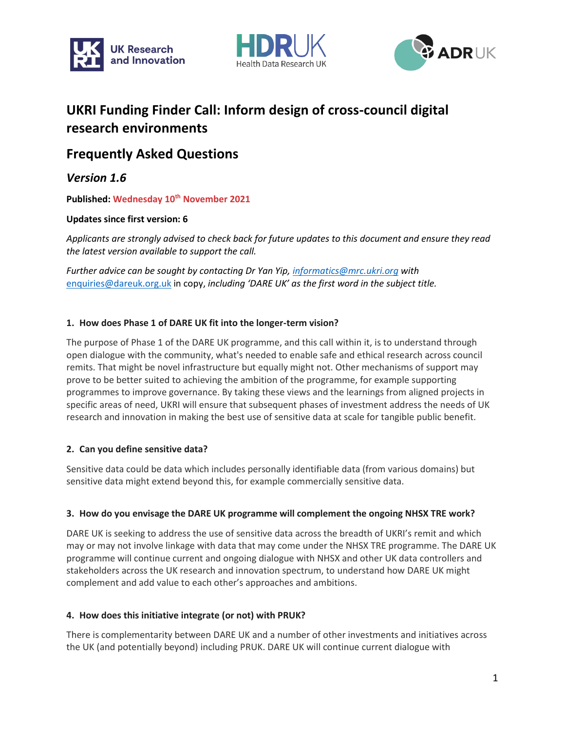





# **UKRI Funding Finder Call: Inform design of cross-council digital research environments**

## **Frequently Asked Questions**

*Version 1.6*

**Published: Wednesday 10th November 2021**

## **Updates since first version: 6**

*Applicants are strongly advised to check back for future updates to this document and ensure they read the latest version available to support the call.*

*Further advice can be sought by contacting Dr Yan Yip, [informatics@mrc.ukri.org](mailto:informatics@mrc.ukri.org) with*  [enquiries@dareuk.org.uk](mailto:enquires@dareuk.org.uk) in copy, *including 'DARE UK' as the first word in the subject title.*

## **1. How does Phase 1 of DARE UK fit into the longer-term vision?**

The purpose of Phase 1 of the DARE UK programme, and this call within it, is to understand through open dialogue with the community, what's needed to enable safe and ethical research across council remits. That might be novel infrastructure but equally might not. Other mechanisms of support may prove to be better suited to achieving the ambition of the programme, for example supporting programmes to improve governance. By taking these views and the learnings from aligned projects in specific areas of need, UKRI will ensure that subsequent phases of investment address the needs of UK research and innovation in making the best use of sensitive data at scale for tangible public benefit.

## **2. Can you define sensitive data?**

Sensitive data could be data which includes personally identifiable data (from various domains) but sensitive data might extend beyond this, for example commercially sensitive data.

#### **3. How do you envisage the DARE UK programme will complement the ongoing NHSX TRE work?**

DARE UK is seeking to address the use of sensitive data across the breadth of UKRI's remit and which may or may not involve linkage with data that may come under the NHSX TRE programme. The DARE UK programme will continue current and ongoing dialogue with NHSX and other UK data controllers and stakeholders across the UK research and innovation spectrum, to understand how DARE UK might complement and add value to each other's approaches and ambitions.

#### **4. How does this initiative integrate (or not) with PRUK?**

There is complementarity between DARE UK and a number of other investments and initiatives across the UK (and potentially beyond) including PRUK. DARE UK will continue current dialogue with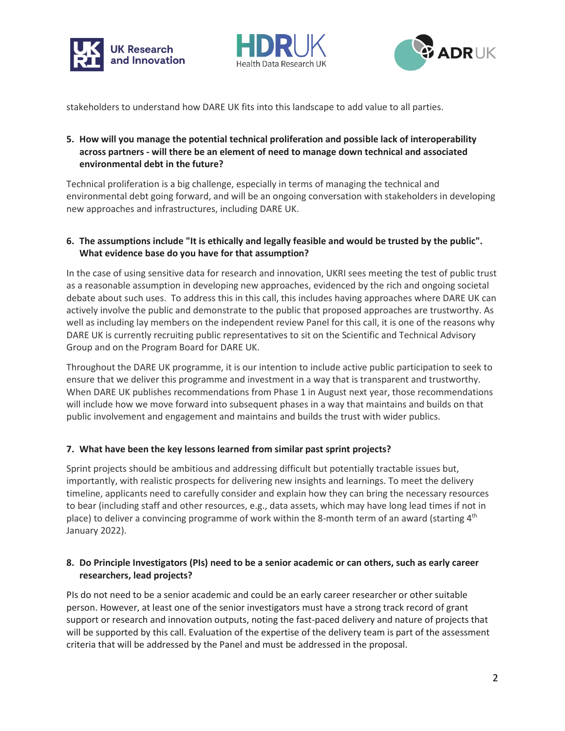





stakeholders to understand how DARE UK fits into this landscape to add value to all parties.

## **5. How will you manage the potential technical proliferation and possible lack of interoperability across partners - will there be an element of need to manage down technical and associated environmental debt in the future?**

Technical proliferation is a big challenge, especially in terms of managing the technical and environmental debt going forward, and will be an ongoing conversation with stakeholders in developing new approaches and infrastructures, including DARE UK.

## **6. The assumptions include "It is ethically and legally feasible and would be trusted by the public". What evidence base do you have for that assumption?**

In the case of using sensitive data for research and innovation, UKRI sees meeting the test of public trust as a reasonable assumption in developing new approaches, evidenced by the rich and ongoing societal debate about such uses. To address this in this call, this includes having approaches where DARE UK can actively involve the public and demonstrate to the public that proposed approaches are trustworthy. As well as including lay members on the independent review Panel for this call, it is one of the reasons why DARE UK is currently recruiting public representatives to sit on the Scientific and Technical Advisory Group and on the Program Board for DARE UK.

Throughout the DARE UK programme, it is our intention to include active public participation to seek to ensure that we deliver this programme and investment in a way that is transparent and trustworthy. When DARE UK publishes recommendations from Phase 1 in August next year, those recommendations will include how we move forward into subsequent phases in a way that maintains and builds on that public involvement and engagement and maintains and builds the trust with wider publics.

## **7. What have been the key lessons learned from similar past sprint projects?**

Sprint projects should be ambitious and addressing difficult but potentially tractable issues but, importantly, with realistic prospects for delivering new insights and learnings. To meet the delivery timeline, applicants need to carefully consider and explain how they can bring the necessary resources to bear (including staff and other resources, e.g., data assets, which may have long lead times if not in place) to deliver a convincing programme of work within the 8-month term of an award (starting  $4<sup>th</sup>$ January 2022).

## **8. Do Principle Investigators (PIs) need to be a senior academic or can others, such as early career researchers, lead projects?**

PIs do not need to be a senior academic and could be an early career researcher or other suitable person. However, at least one of the senior investigators must have a strong track record of grant support or research and innovation outputs, noting the fast-paced delivery and nature of projects that will be supported by this call. Evaluation of the expertise of the delivery team is part of the assessment criteria that will be addressed by the Panel and must be addressed in the proposal.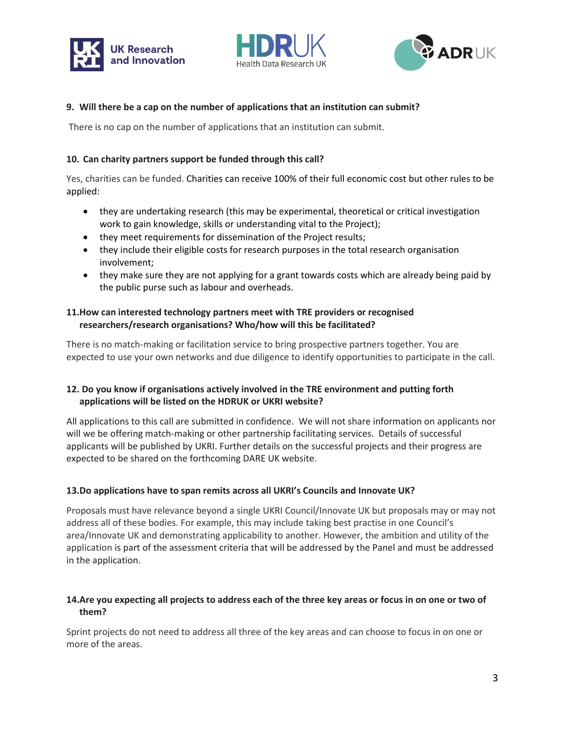





#### **9. Will there be a cap on the number of applications that an institution can submit?**

There is no cap on the number of applications that an institution can submit.

#### **10. Can charity partners support be funded through this call?**

Yes, charities can be funded. Charities can receive 100% of their full economic cost but other rules to be applied:

- they are undertaking research (this may be experimental, theoretical or critical investigation work to gain knowledge, skills or understanding vital to the Project);
- they meet requirements for dissemination of the Project results;
- they include their eligible costs for research purposes in the total research organisation involvement;
- they make sure they are not applying for a grant towards costs which are already being paid by the public purse such as labour and overheads.

## **11.How can interested technology partners meet with TRE providers or recognised researchers/research organisations? Who/how will this be facilitated?**

There is no match-making or facilitation service to bring prospective partners together. You are expected to use your own networks and due diligence to identify opportunities to participate in the call.

## **12. Do you know if organisations actively involved in the TRE environment and putting forth applications will be listed on the HDRUK or UKRI website?**

All applications to this call are submitted in confidence. We will not share information on applicants nor will we be offering match-making or other partnership facilitating services. Details of successful applicants will be published by UKRI. Further details on the successful projects and their progress are expected to be shared on the forthcoming DARE UK website.

#### **13.Do applications have to span remits across all UKRI's Councils and Innovate UK?**

Proposals must have relevance beyond a single UKRI Council/Innovate UK but proposals may or may not address all of these bodies. For example, this may include taking best practise in one Council's area/Innovate UK and demonstrating applicability to another. However, the ambition and utility of the application is part of the assessment criteria that will be addressed by the Panel and must be addressed in the application.

## **14.Are you expecting all projects to address each of the three key areas or focus in on one or two of them?**

Sprint projects do not need to address all three of the key areas and can choose to focus in on one or more of the areas.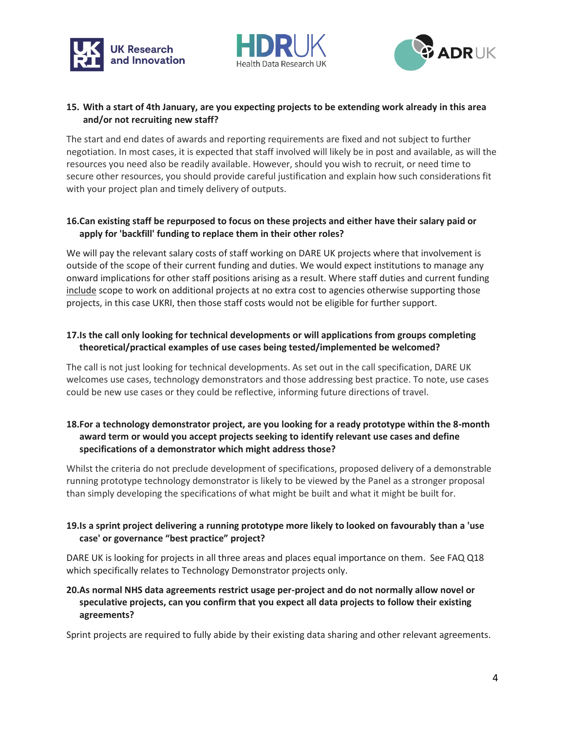





#### **15. With a start of 4th January, are you expecting projects to be extending work already in this area and/or not recruiting new staff?**

The start and end dates of awards and reporting requirements are fixed and not subject to further negotiation. In most cases, it is expected that staff involved will likely be in post and available, as will the resources you need also be readily available. However, should you wish to recruit, or need time to secure other resources, you should provide careful justification and explain how such considerations fit with your project plan and timely delivery of outputs.

## **16.Can existing staff be repurposed to focus on these projects and either have their salary paid or apply for 'backfill' funding to replace them in their other roles?**

We will pay the relevant salary costs of staff working on DARE UK projects where that involvement is outside of the scope of their current funding and duties. We would expect institutions to manage any onward implications for other staff positions arising as a result. Where staff duties and current funding include scope to work on additional projects at no extra cost to agencies otherwise supporting those projects, in this case UKRI, then those staff costs would not be eligible for further support.

## **17.Is the call only looking for technical developments or will applications from groups completing theoretical/practical examples of use cases being tested/implemented be welcomed?**

The call is not just looking for technical developments. As set out in the call specification, DARE UK welcomes use cases, technology demonstrators and those addressing best practice. To note, use cases could be new use cases or they could be reflective, informing future directions of travel.

## **18.For a technology demonstrator project, are you looking for a ready prototype within the 8-month award term or would you accept projects seeking to identify relevant use cases and define specifications of a demonstrator which might address those?**

Whilst the criteria do not preclude development of specifications, proposed delivery of a demonstrable running prototype technology demonstrator is likely to be viewed by the Panel as a stronger proposal than simply developing the specifications of what might be built and what it might be built for.

## **19.Is a sprint project delivering a running prototype more likely to looked on favourably than a 'use case' or governance "best practice" project?**

DARE UK is looking for projects in all three areas and places equal importance on them. See FAQ Q18 which specifically relates to Technology Demonstrator projects only.

## **20.As normal NHS data agreements restrict usage per-project and do not normally allow novel or speculative projects, can you confirm that you expect all data projects to follow their existing agreements?**

Sprint projects are required to fully abide by their existing data sharing and other relevant agreements.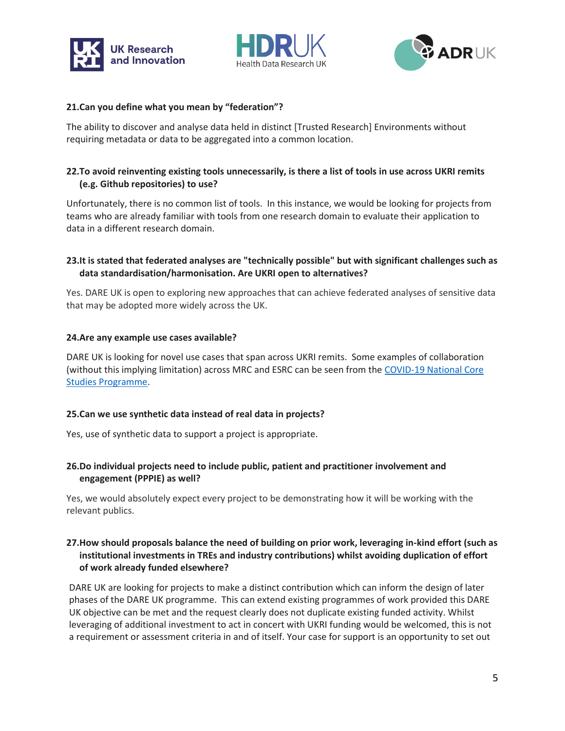





#### **21.Can you define what you mean by "federation"?**

The ability to discover and analyse data held in distinct [Trusted Research] Environments without requiring metadata or data to be aggregated into a common location.

#### **22.To avoid reinventing existing tools unnecessarily, is there a list of tools in use across UKRI remits (e.g. Github repositories) to use?**

Unfortunately, there is no common list of tools. In this instance, we would be looking for projects from teams who are already familiar with tools from one research domain to evaluate their application to data in a different research domain.

## **23.It is stated that federated analyses are "technically possible" but with significant challenges such as data standardisation/harmonisation. Are UKRI open to alternatives?**

Yes. DARE UK is open to exploring new approaches that can achieve federated analyses of sensitive data that may be adopted more widely across the UK.

#### **24.Are any example use cases available?**

DARE UK is looking for novel use cases that span across UKRI remits. Some examples of collaboration (without this implying limitation) across MRC and ESRC can be seen from the [COVID-19 National Core](https://www.healthdatagateway.org/about/national-core-studies-dashboard)  [Studies Programme.](https://www.healthdatagateway.org/about/national-core-studies-dashboard)

#### **25.Can we use synthetic data instead of real data in projects?**

Yes, use of synthetic data to support a project is appropriate.

## **26.Do individual projects need to include public, patient and practitioner involvement and engagement (PPPIE) as well?**

Yes, we would absolutely expect every project to be demonstrating how it will be working with the relevant publics.

## **27.How should proposals balance the need of building on prior work, leveraging in-kind effort (such as institutional investments in TREs and industry contributions) whilst avoiding duplication of effort of work already funded elsewhere?**

DARE UK are looking for projects to make a distinct contribution which can inform the design of later phases of the DARE UK programme. This can extend existing programmes of work provided this DARE UK objective can be met and the request clearly does not duplicate existing funded activity. Whilst leveraging of additional investment to act in concert with UKRI funding would be welcomed, this is not a requirement or assessment criteria in and of itself. Your case for support is an opportunity to set out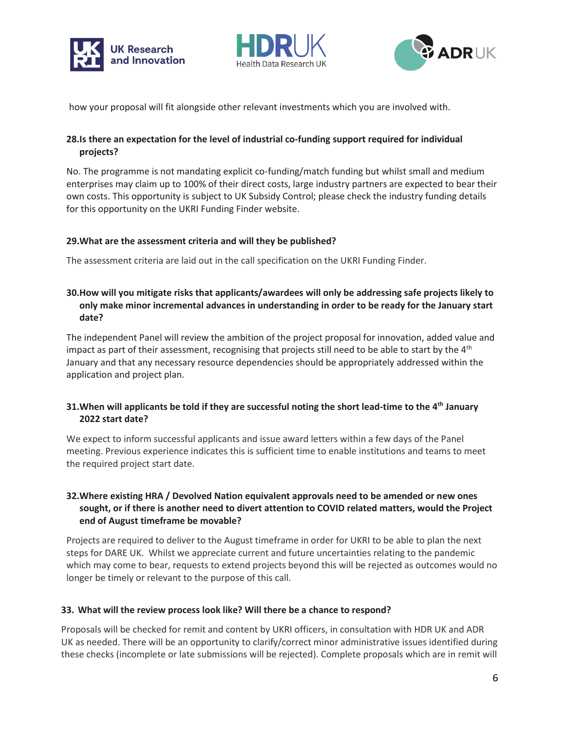





how your proposal will fit alongside other relevant investments which you are involved with.

## **28.Is there an expectation for the level of industrial co-funding support required for individual projects?**

No. The programme is not mandating explicit co-funding/match funding but whilst small and medium enterprises may claim up to 100% of their direct costs, large industry partners are expected to bear their own costs. This opportunity is subject to UK Subsidy Control; please check the industry funding details for this opportunity on the UKRI Funding Finder website.

## **29.What are the assessment criteria and will they be published?**

The assessment criteria are laid out in the call specification on the UKRI Funding Finder.

## **30.How will you mitigate risks that applicants/awardees will only be addressing safe projects likely to only make minor incremental advances in understanding in order to be ready for the January start date?**

The independent Panel will review the ambition of the project proposal for innovation, added value and impact as part of their assessment, recognising that projects still need to be able to start by the  $4<sup>th</sup>$ January and that any necessary resource dependencies should be appropriately addressed within the application and project plan.

## **31.When will applicants be told if they are successful noting the short lead-time to the 4th January 2022 start date?**

We expect to inform successful applicants and issue award letters within a few days of the Panel meeting. Previous experience indicates this is sufficient time to enable institutions and teams to meet the required project start date.

## **32.Where existing HRA / Devolved Nation equivalent approvals need to be amended or new ones sought, or if there is another need to divert attention to COVID related matters, would the Project end of August timeframe be movable?**

Projects are required to deliver to the August timeframe in order for UKRI to be able to plan the next steps for DARE UK. Whilst we appreciate current and future uncertainties relating to the pandemic which may come to bear, requests to extend projects beyond this will be rejected as outcomes would no longer be timely or relevant to the purpose of this call.

## **33. What will the review process look like? Will there be a chance to respond?**

Proposals will be checked for remit and content by UKRI officers, in consultation with HDR UK and ADR UK as needed. There will be an opportunity to clarify/correct minor administrative issues identified during these checks (incomplete or late submissions will be rejected). Complete proposals which are in remit will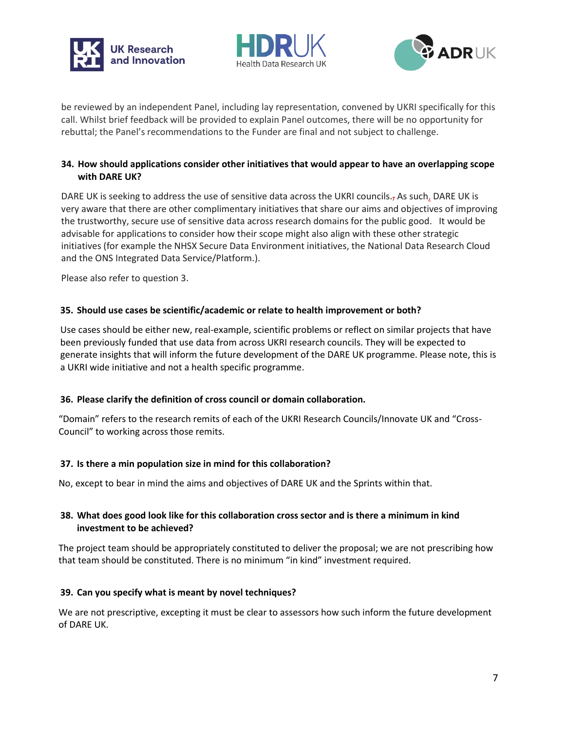





be reviewed by an independent Panel, including lay representation, convened by UKRI specifically for this call. Whilst brief feedback will be provided to explain Panel outcomes, there will be no opportunity for rebuttal; the Panel's recommendations to the Funder are final and not subject to challenge.

## **34. How should applications consider other initiatives that would appear to have an overlapping scope with DARE UK?**

DARE UK is seeking to address the use of sensitive data across the UKRI councils., As such, DARE UK is very aware that there are other complimentary initiatives that share our aims and objectives of improving the trustworthy, secure use of sensitive data across research domains for the public good. It would be advisable for applications to consider how their scope might also align with these other strategic initiatives (for example the NHSX Secure Data Environment initiatives, the National Data Research Cloud and the ONS Integrated Data Service/Platform.).

Please also refer to question 3.

## **35. Should use cases be scientific/academic or relate to health improvement or both?**

Use cases should be either new, real-example, scientific problems or reflect on similar projects that have been previously funded that use data from across UKRI research councils. They will be expected to generate insights that will inform the future development of the DARE UK programme. Please note, this is a UKRI wide initiative and not a health specific programme.

#### **36. Please clarify the definition of cross council or domain collaboration.**

"Domain" refers to the research remits of each of the UKRI Research Councils/Innovate UK and "Cross-Council" to working across those remits.

#### **37. Is there a min population size in mind for this collaboration?**

No, except to bear in mind the aims and objectives of DARE UK and the Sprints within that.

## **38. What does good look like for this collaboration cross sector and is there a minimum in kind investment to be achieved?**

The project team should be appropriately constituted to deliver the proposal; we are not prescribing how that team should be constituted. There is no minimum "in kind" investment required.

#### **39. Can you specify what is meant by novel techniques?**

We are not prescriptive, excepting it must be clear to assessors how such inform the future development of DARE UK.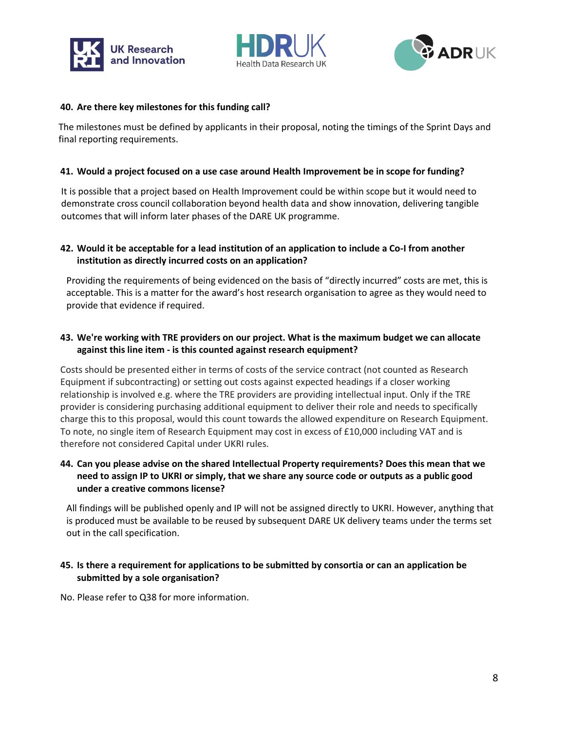





#### **40. Are there key milestones for this funding call?**

The milestones must be defined by applicants in their proposal, noting the timings of the Sprint Days and final reporting requirements.

#### **41. Would a project focused on a use case around Health Improvement be in scope for funding?**

It is possible that a project based on Health Improvement could be within scope but it would need to demonstrate cross council collaboration beyond health data and show innovation, delivering tangible outcomes that will inform later phases of the DARE UK programme.

## **42. Would it be acceptable for a lead institution of an application to include a Co-I from another institution as directly incurred costs on an application?**

Providing the requirements of being evidenced on the basis of "directly incurred" costs are met, this is acceptable. This is a matter for the award's host research organisation to agree as they would need to provide that evidence if required.

## **43. We're working with TRE providers on our project. What is the maximum budget we can allocate against this line item - is this counted against research equipment?**

Costs should be presented either in terms of costs of the service contract (not counted as Research Equipment if subcontracting) or setting out costs against expected headings if a closer working relationship is involved e.g. where the TRE providers are providing intellectual input. Only if the TRE provider is considering purchasing additional equipment to deliver their role and needs to specifically charge this to this proposal, would this count towards the allowed expenditure on Research Equipment. To note, no single item of Research Equipment may cost in excess of £10,000 including VAT and is therefore not considered Capital under UKRI rules.

#### **44. Can you please advise on the shared Intellectual Property requirements? Does this mean that we need to assign IP to UKRI or simply, that we share any source code or outputs as a public good under a creative commons license?**

All findings will be published openly and IP will not be assigned directly to UKRI. However, anything that is produced must be available to be reused by subsequent DARE UK delivery teams under the terms set out in the call specification.

## **45. Is there a requirement for applications to be submitted by consortia or can an application be submitted by a sole organisation?**

No. Please refer to Q38 for more information.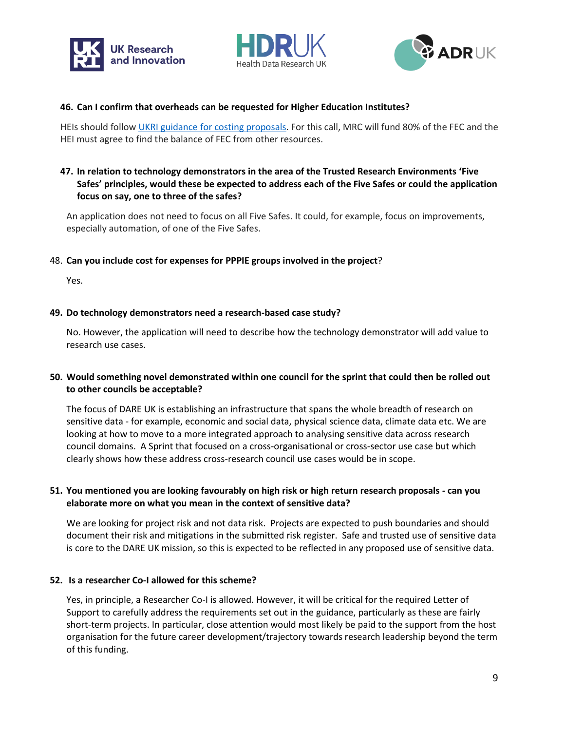





#### **46. Can I confirm that overheads can be requested for Higher Education Institutes?**

HEIs should follow [UKRI guidance for costing proposals.](https://www.ukri.org/councils/mrc/guidance-for-applicants/costs-we-fund/3-1-full-economic-cost-transparent-approach-to-costing/) For this call, MRC will fund 80% of the FEC and the HEI must agree to find the balance of FEC from other resources.

#### **47. In relation to technology demonstrators in the area of the Trusted Research Environments 'Five Safes' principles, would these be expected to address each of the Five Safes or could the application focus on say, one to three of the safes?**

An application does not need to focus on all Five Safes. It could, for example, focus on improvements, especially automation, of one of the Five Safes.

#### 48. **Can you include cost for expenses for PPPIE groups involved in the project**?

Yes.

#### **49. Do technology demonstrators need a research-based case study?**

No. However, the application will need to describe how the technology demonstrator will add value to research use cases.

## **50. Would something novel demonstrated within one council for the sprint that could then be rolled out to other councils be acceptable?**

The focus of DARE UK is establishing an infrastructure that spans the whole breadth of research on sensitive data - for example, economic and social data, physical science data, climate data etc. We are looking at how to move to a more integrated approach to analysing sensitive data across research council domains. A Sprint that focused on a cross-organisational or cross-sector use case but which clearly shows how these address cross-research council use cases would be in scope.

#### **51. You mentioned you are looking favourably on high risk or high return research proposals - can you elaborate more on what you mean in the context of sensitive data?**

We are looking for project risk and not data risk. Projects are expected to push boundaries and should document their risk and mitigations in the submitted risk register. Safe and trusted use of sensitive data is core to the DARE UK mission, so this is expected to be reflected in any proposed use of sensitive data.

#### **52. Is a researcher Co-I allowed for this scheme?**

Yes, in principle, a Researcher Co-I is allowed. However, it will be critical for the required Letter of Support to carefully address the requirements set out in the guidance, particularly as these are fairly short-term projects. In particular, close attention would most likely be paid to the support from the host organisation for the future career development/trajectory towards research leadership beyond the term of this funding.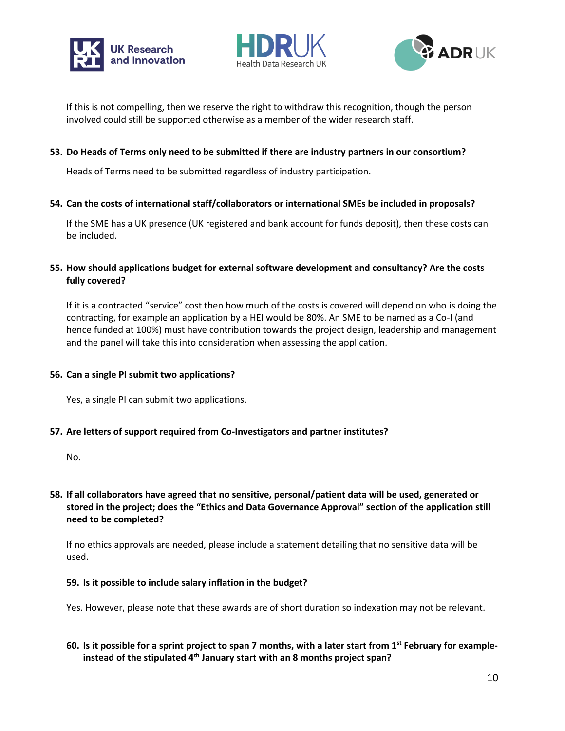





If this is not compelling, then we reserve the right to withdraw this recognition, though the person involved could still be supported otherwise as a member of the wider research staff.

#### **53. Do Heads of Terms only need to be submitted if there are industry partners in our consortium?**

Heads of Terms need to be submitted regardless of industry participation.

**54. Can the costs of international staff/collaborators or international SMEs be included in proposals?**

If the SME has a UK presence (UK registered and bank account for funds deposit), then these costs can be included.

#### **55. How should applications budget for external software development and consultancy? Are the costs fully covered?**

If it is a contracted "service" cost then how much of the costs is covered will depend on who is doing the contracting, for example an application by a HEI would be 80%. An SME to be named as a Co-I (and hence funded at 100%) must have contribution towards the project design, leadership and management and the panel will take this into consideration when assessing the application.

#### **56. Can a single PI submit two applications?**

Yes, a single PI can submit two applications.

#### **57. Are letters of support required from Co-Investigators and partner institutes?**

No.

## **58. If all collaborators have agreed that no sensitive, personal/patient data will be used, generated or stored in the project; does the "Ethics and Data Governance Approval" section of the application still need to be completed?**

If no ethics approvals are needed, please include a statement detailing that no sensitive data will be used.

#### **59. Is it possible to include salary inflation in the budget?**

Yes. However, please note that these awards are of short duration so indexation may not be relevant.

## **60. Is it possible for a sprint project to span 7 months, with a later start from 1st February for exampleinstead of the stipulated 4th January start with an 8 months project span?**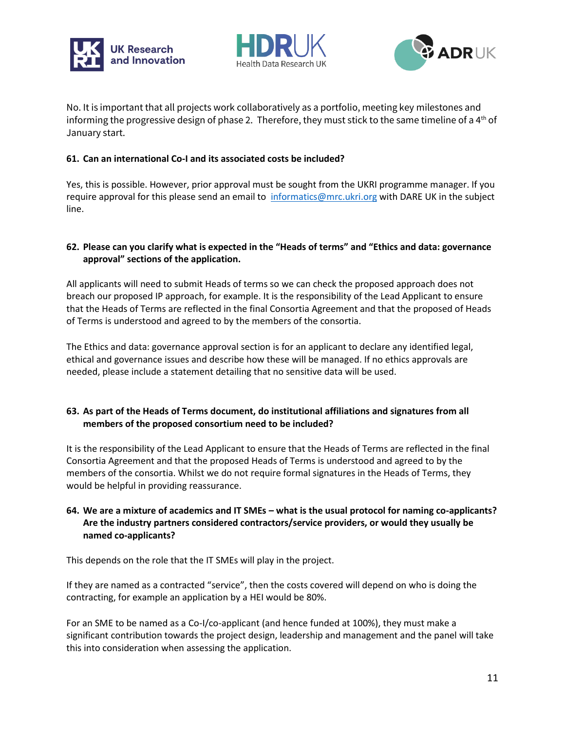





No. It is important that all projects work collaboratively as a portfolio, meeting key milestones and informing the progressive design of phase 2. Therefore, they must stick to the same timeline of a  $4<sup>th</sup>$  of January start.

## **61. Can an international Co-I and its associated costs be included?**

Yes, this is possible. However, prior approval must be sought from the UKRI programme manager. If you require approval for this please send an email to [informatics@mrc.ukri.org](mailto:informatics@mrc.ukri.org) with DARE UK in the subject line.

## **62. Please can you clarify what is expected in the "Heads of terms" and "Ethics and data: governance approval" sections of the application.**

All applicants will need to submit Heads of terms so we can check the proposed approach does not breach our proposed IP approach, for example. It is the responsibility of the Lead Applicant to ensure that the Heads of Terms are reflected in the final Consortia Agreement and that the proposed of Heads of Terms is understood and agreed to by the members of the consortia.

The Ethics and data: governance approval section is for an applicant to declare any identified legal, ethical and governance issues and describe how these will be managed. If no ethics approvals are needed, please include a statement detailing that no sensitive data will be used.

## **63. As part of the Heads of Terms document, do institutional affiliations and signatures from all members of the proposed consortium need to be included?**

It is the responsibility of the Lead Applicant to ensure that the Heads of Terms are reflected in the final Consortia Agreement and that the proposed Heads of Terms is understood and agreed to by the members of the consortia. Whilst we do not require formal signatures in the Heads of Terms, they would be helpful in providing reassurance.

## **64. We are a mixture of academics and IT SMEs – what is the usual protocol for naming co-applicants? Are the industry partners considered contractors/service providers, or would they usually be named co-applicants?**

This depends on the role that the IT SMEs will play in the project.

If they are named as a contracted "service", then the costs covered will depend on who is doing the contracting, for example an application by a HEI would be 80%.

For an SME to be named as a Co-I/co-applicant (and hence funded at 100%), they must make a significant contribution towards the project design, leadership and management and the panel will take this into consideration when assessing the application.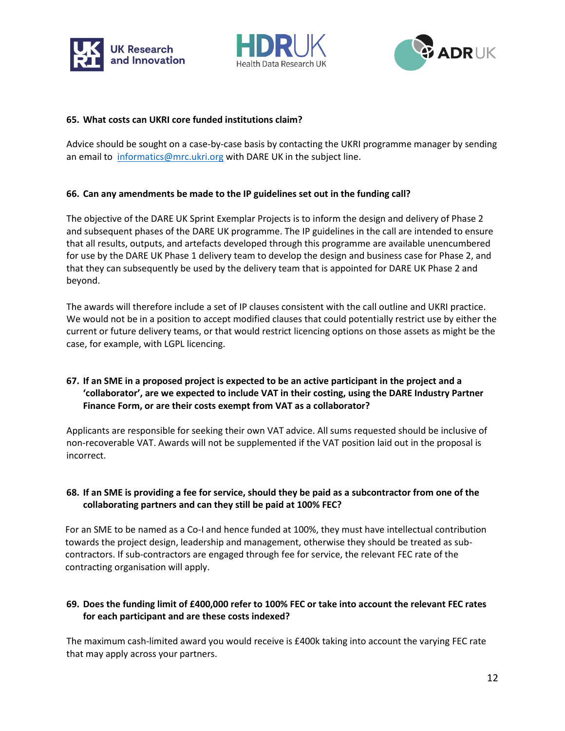





#### **65. What costs can UKRI core funded institutions claim?**

Advice should be sought on a case-by-case basis by contacting the UKRI programme manager by sending an email to [informatics@mrc.ukri.org](mailto:informatics@mrc.ukri.org) with DARE UK in the subject line.

#### **66. Can any amendments be made to the IP guidelines set out in the funding call?**

The objective of the DARE UK Sprint Exemplar Projects is to inform the design and delivery of Phase 2 and subsequent phases of the DARE UK programme. The IP guidelines in the call are intended to ensure that all results, outputs, and artefacts developed through this programme are available unencumbered for use by the DARE UK Phase 1 delivery team to develop the design and business case for Phase 2, and that they can subsequently be used by the delivery team that is appointed for DARE UK Phase 2 and beyond.

The awards will therefore include a set of IP clauses consistent with the call outline and UKRI practice. We would not be in a position to accept modified clauses that could potentially restrict use by either the current or future delivery teams, or that would restrict licencing options on those assets as might be the case, for example, with LGPL licencing.

## **67. If an SME in a proposed project is expected to be an active participant in the project and a 'collaborator', are we expected to include VAT in their costing, using the DARE Industry Partner Finance Form, or are their costs exempt from VAT as a collaborator?**

Applicants are responsible for seeking their own VAT advice. All sums requested should be inclusive of non-recoverable VAT. Awards will not be supplemented if the VAT position laid out in the proposal is incorrect.

## **68. If an SME is providing a fee for service, should they be paid as a subcontractor from one of the collaborating partners and can they still be paid at 100% FEC?**

For an SME to be named as a Co-I and hence funded at 100%, they must have intellectual contribution towards the project design, leadership and management, otherwise they should be treated as subcontractors. If sub-contractors are engaged through fee for service, the relevant FEC rate of the contracting organisation will apply.

## **69. Does the funding limit of £400,000 refer to 100% FEC or take into account the relevant FEC rates for each participant and are these costs indexed?**

The maximum cash-limited award you would receive is £400k taking into account the varying FEC rate that may apply across your partners.